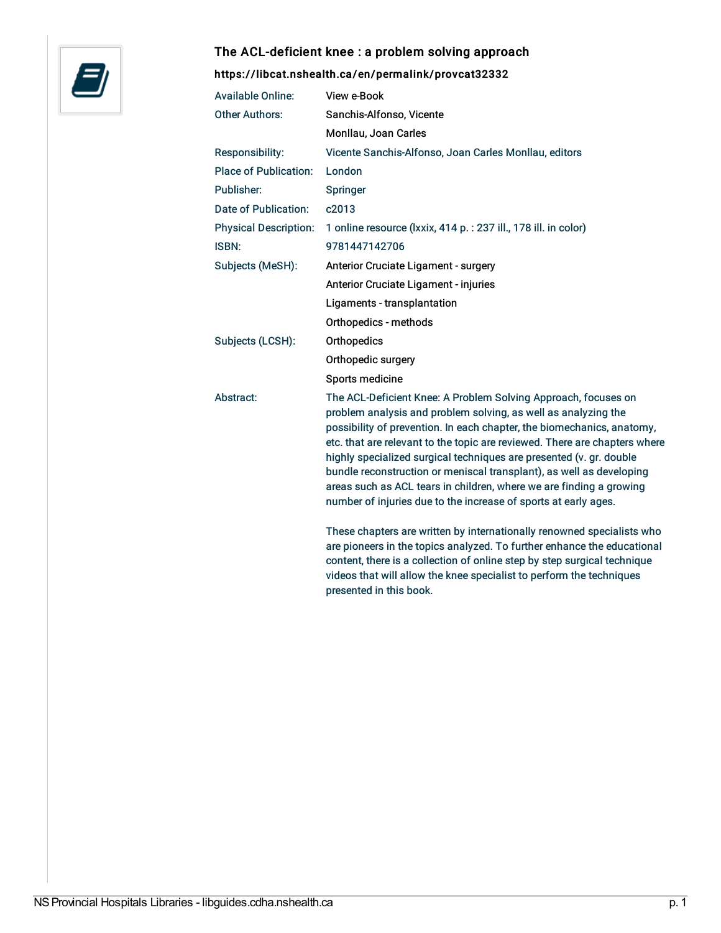

## The ACL-deficient knee : a problem solving approach

## <https://libcat.nshealth.ca/en/permalink/provcat32332>

| <b>Available Online:</b>     | View e-Book                                                                                                                                                                                                                                                                                                                                                                                                                                                                                                                                                                       |
|------------------------------|-----------------------------------------------------------------------------------------------------------------------------------------------------------------------------------------------------------------------------------------------------------------------------------------------------------------------------------------------------------------------------------------------------------------------------------------------------------------------------------------------------------------------------------------------------------------------------------|
| <b>Other Authors:</b>        | Sanchis-Alfonso, Vicente                                                                                                                                                                                                                                                                                                                                                                                                                                                                                                                                                          |
|                              | Monllau, Joan Carles                                                                                                                                                                                                                                                                                                                                                                                                                                                                                                                                                              |
| Responsibility:              | Vicente Sanchis-Alfonso, Joan Carles Monllau, editors                                                                                                                                                                                                                                                                                                                                                                                                                                                                                                                             |
| <b>Place of Publication:</b> | London                                                                                                                                                                                                                                                                                                                                                                                                                                                                                                                                                                            |
| Publisher:                   | Springer                                                                                                                                                                                                                                                                                                                                                                                                                                                                                                                                                                          |
| Date of Publication:         | c2013                                                                                                                                                                                                                                                                                                                                                                                                                                                                                                                                                                             |
| <b>Physical Description:</b> | 1 online resource (Ixxix, 414 p. : 237 ill., 178 ill. in color)                                                                                                                                                                                                                                                                                                                                                                                                                                                                                                                   |
| <b>ISBN:</b>                 | 9781447142706                                                                                                                                                                                                                                                                                                                                                                                                                                                                                                                                                                     |
| Subjects (MeSH):             | Anterior Cruciate Ligament - surgery                                                                                                                                                                                                                                                                                                                                                                                                                                                                                                                                              |
|                              | Anterior Cruciate Ligament - injuries                                                                                                                                                                                                                                                                                                                                                                                                                                                                                                                                             |
|                              | Ligaments - transplantation                                                                                                                                                                                                                                                                                                                                                                                                                                                                                                                                                       |
|                              | Orthopedics - methods                                                                                                                                                                                                                                                                                                                                                                                                                                                                                                                                                             |
| Subjects (LCSH):             | Orthopedics                                                                                                                                                                                                                                                                                                                                                                                                                                                                                                                                                                       |
|                              | Orthopedic surgery                                                                                                                                                                                                                                                                                                                                                                                                                                                                                                                                                                |
|                              | Sports medicine                                                                                                                                                                                                                                                                                                                                                                                                                                                                                                                                                                   |
| Abstract:                    | The ACL-Deficient Knee: A Problem Solving Approach, focuses on<br>problem analysis and problem solving, as well as analyzing the<br>possibility of prevention. In each chapter, the biomechanics, anatomy,<br>etc. that are relevant to the topic are reviewed. There are chapters where<br>highly specialized surgical techniques are presented (v. gr. double<br>bundle reconstruction or meniscal transplant), as well as developing<br>areas such as ACL tears in children, where we are finding a growing<br>number of injuries due to the increase of sports at early ages. |
|                              | These chapters are written by internationally renowned specialists who<br>are pioneers in the topics analyzed. To further enhance the educational<br>content, there is a collection of online step by step surgical technique                                                                                                                                                                                                                                                                                                                                                     |

presented in this book.

videos that will allow the knee specialist to perform the techniques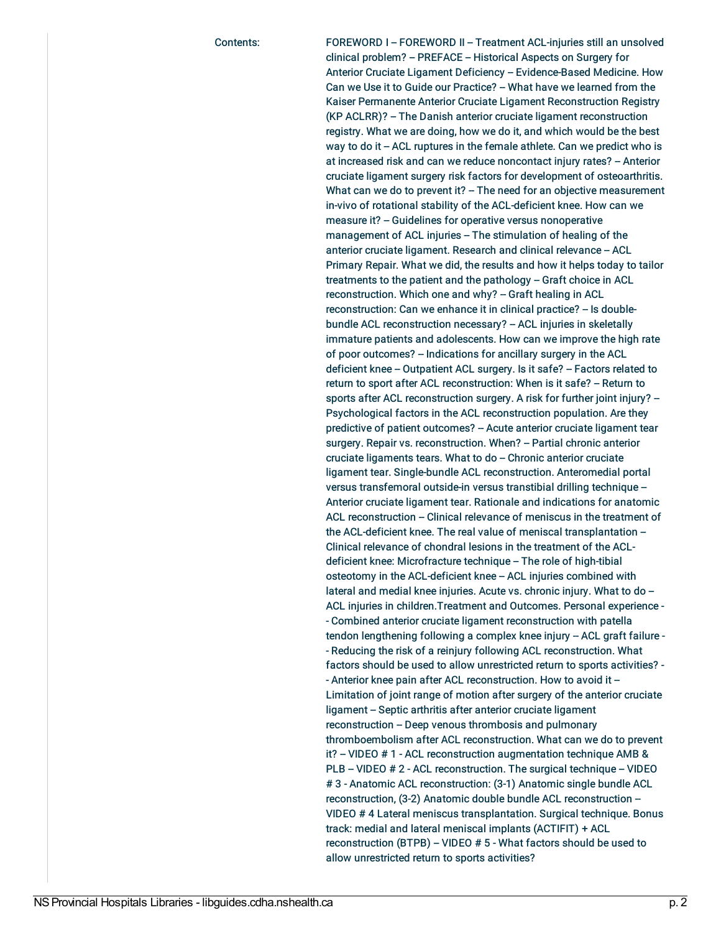Contents: FOREWORD I -- FOREWORD II -- Treatment ACL-injuries still an unsolved clinical problem? - PREFACE - Historical Aspects on Surgery for Anterior Cruciate Ligament Deficiency - Evidence-Based Medicine. How Can we Use it to Guide our Practice? - What have we learned from the Kaiser Permanente Anterior Cruciate Ligament Reconstruction Registry (KP ACLRR)? - The Danish anterior cruciate ligament reconstruction registry. What we are doing, how we do it, and which would be the best way to do it  $-$  ACL ruptures in the female athlete. Can we predict who is at increased risk and can we reduce noncontact injury rates? - Anterior cruciate ligament surgery risk factors for development of osteoarthritis. What can we do to prevent it? - The need for an objective measurement in-vivo of rotational stability of the ACL-deficient knee. How can we measure it? - Guidelines for operative versus nonoperative management of ACL injuries -- The stimulation of healing of the anterior cruciate ligament. Research and clinical relevance -- ACL Primary Repair. What we did, the results and how it helps today to tailor treatments to the patient and the pathology -- Graft choice in ACL reconstruction. Which one and why? – Graft healing in ACL reconstruction: Can we enhance it in clinical practice? - Is doublebundle ACL reconstruction necessary? - ACL injuries in skeletally immature patients and adolescents. How can we improve the high rate of poor outcomes? – Indications for ancillary surgery in the ACL deficient knee -- Outpatient ACL surgery. Is it safe? -- Factors related to return to sport after ACL reconstruction: When is it safe? - Return to sports after ACL reconstruction surgery. A risk for further joint injury? --Psychological factors in the ACL reconstruction population. Are they predictive of patient outcomes? - Acute anterior cruciate ligament tear surgery. Repair vs. reconstruction. When? - Partial chronic anterior  $c$ ruciate ligaments tears. What to do  $-$  Chronic anterior cruciate ligament tear. Single-bundle ACL reconstruction. Anteromedial portal versus transfemoral outside-in versus transtibial drilling technique -- Anterior cruciate ligament tear. Rationale and indications for anatomic ACL reconstruction - Clinical relevance of meniscus in the treatment of the ACL-deficient knee. The real value of meniscal transplantation -Clinical relevance of chondral lesions in the treatment of the ACLdeficient knee: Microfracture technique - The role of high-tibial osteotomy in the ACL-deficient knee -- ACL injuries combined with lateral and medial knee injuries. Acute vs. chronic injury. What to do -ACL injuries in children.Treatment and Outcomes. Personal experience - - Combined anterior cruciate ligament reconstruction with patella tendon lengthening following a complex knee injury - ACL graft failure -- Reducing the risk of a reinjury following ACL reconstruction. What factors should be used to allow unrestricted return to sports activities? - - Anterior knee pain after ACL reconstruction. How to avoid it -Limitation of joint range of motion after surgery of the anterior cruciate ligament -- Septic arthritis after anterior cruciate ligament reconstruction - Deep venous thrombosis and pulmonary thromboembolism after ACL reconstruction. What can we do to prevent it?  $-$  VIDEO  $# 1 - ACL$  reconstruction augmentation technique AMB & PLB - VIDEO # 2 - ACL reconstruction. The surgical technique - VIDEO # 3 - Anatomic ACL reconstruction: (3-1) Anatomic single bundle ACL reconstruction, (3-2) Anatomic double bundle ACL reconstruction -- VIDEO # 4 Lateral meniscus transplantation. Surgical technique. Bonus track: medial and lateral meniscal implants (ACTIFIT) + ACL reconstruction (BTPB) -- VIDEO # 5 - What factors should be used to allow unrestricted return to sports activities?